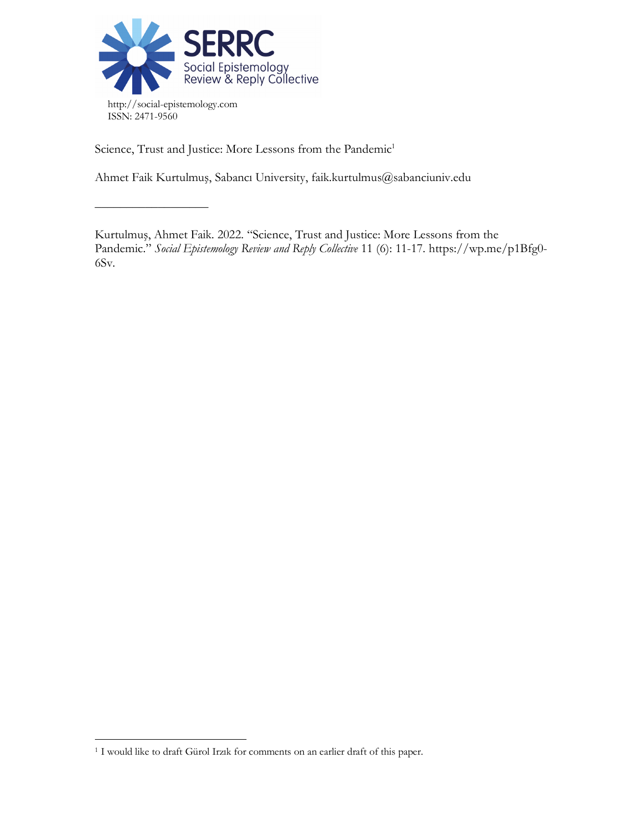

––––––––––––––––––

Science, Trust and Justice: More Lessons from the Pandemic<sup>1</sup>

Ahmet Faik Kurtulmuş, Sabancı University, faik.kurtulmus@sabanciuniv.edu

Kurtulmuş, Ahmet Faik. 2022. "Science, Trust and Justice: More Lessons from the Pandemic." *Social Epistemology Review and Reply Collective* 11 (6): 11-17. https://wp.me/p1Bfg0- 6Sv.

<sup>&</sup>lt;sup>1</sup> I would like to draft Gürol Irzık for comments on an earlier draft of this paper.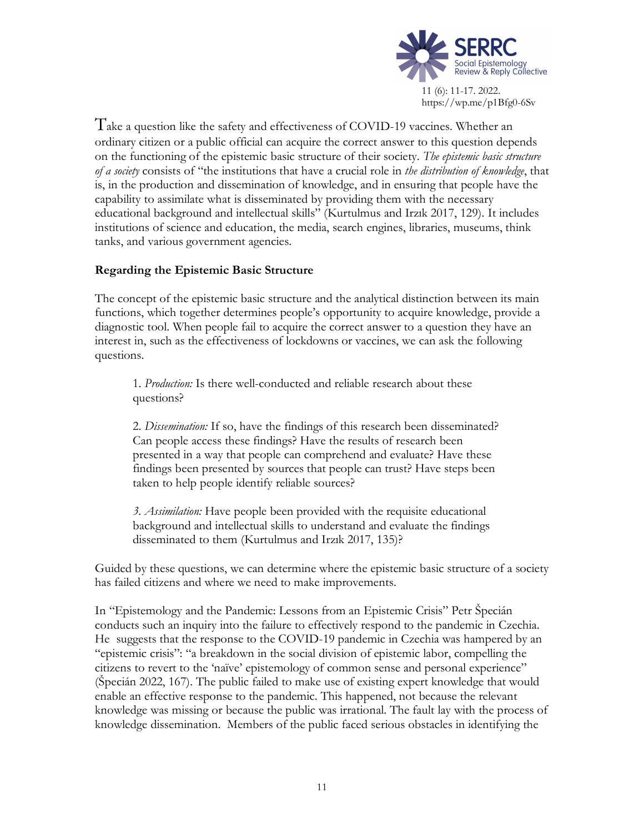

Take a question like the safety and effectiveness of COVID-19 vaccines. Whether an ordinary citizen or a public official can acquire the correct answer to this question depends on the functioning of the epistemic basic structure of their society. *The epistemic basic structure of a society* consists of "the institutions that have a crucial role in *the distribution of knowledge*, that is, in the production and dissemination of knowledge, and in ensuring that people have the capability to assimilate what is disseminated by providing them with the necessary educational background and intellectual skills" (Kurtulmus and Irzık 2017, 129). It includes institutions of science and education, the media, search engines, libraries, museums, think tanks, and various government agencies.

## **Regarding the Epistemic Basic Structure**

The concept of the epistemic basic structure and the analytical distinction between its main functions, which together determines people's opportunity to acquire knowledge, provide a diagnostic tool. When people fail to acquire the correct answer to a question they have an interest in, such as the effectiveness of lockdowns or vaccines, we can ask the following questions.

1. *Production:* Is there well-conducted and reliable research about these questions?

2. *Dissemination:* If so, have the findings of this research been disseminated? Can people access these findings? Have the results of research been presented in a way that people can comprehend and evaluate? Have these findings been presented by sources that people can trust? Have steps been taken to help people identify reliable sources?

*3. Assimilation:* Have people been provided with the requisite educational background and intellectual skills to understand and evaluate the findings disseminated to them (Kurtulmus and Irzık 2017, 135)?

Guided by these questions, we can determine where the epistemic basic structure of a society has failed citizens and where we need to make improvements.

In "Epistemology and the Pandemic: Lessons from an Epistemic Crisis" Petr Špecián conducts such an inquiry into the failure to effectively respond to the pandemic in Czechia. He suggests that the response to the COVID-19 pandemic in Czechia was hampered by an "epistemic crisis": "a breakdown in the social division of epistemic labor, compelling the citizens to revert to the 'naïve' epistemology of common sense and personal experience" (Špecián 2022, 167). The public failed to make use of existing expert knowledge that would enable an effective response to the pandemic. This happened, not because the relevant knowledge was missing or because the public was irrational. The fault lay with the process of knowledge dissemination. Members of the public faced serious obstacles in identifying the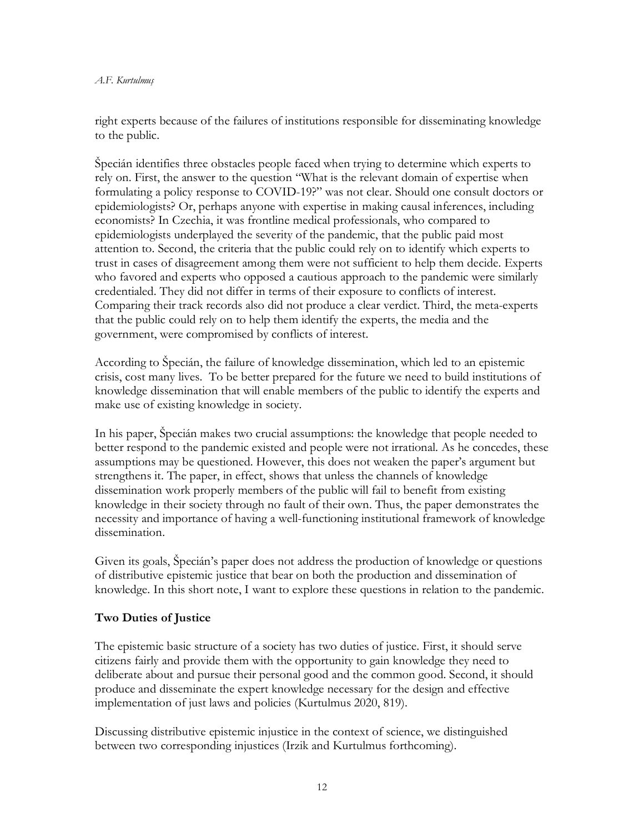#### *A.F. Kurtulmuş*

right experts because of the failures of institutions responsible for disseminating knowledge to the public.

Špecián identifies three obstacles people faced when trying to determine which experts to rely on. First, the answer to the question "What is the relevant domain of expertise when formulating a policy response to COVID-19?" was not clear. Should one consult doctors or epidemiologists? Or, perhaps anyone with expertise in making causal inferences, including economists? In Czechia, it was frontline medical professionals, who compared to epidemiologists underplayed the severity of the pandemic, that the public paid most attention to. Second, the criteria that the public could rely on to identify which experts to trust in cases of disagreement among them were not sufficient to help them decide. Experts who favored and experts who opposed a cautious approach to the pandemic were similarly credentialed. They did not differ in terms of their exposure to conflicts of interest. Comparing their track records also did not produce a clear verdict. Third, the meta-experts that the public could rely on to help them identify the experts, the media and the government, were compromised by conflicts of interest.

According to Špecián, the failure of knowledge dissemination, which led to an epistemic crisis, cost many lives. To be better prepared for the future we need to build institutions of knowledge dissemination that will enable members of the public to identify the experts and make use of existing knowledge in society.

In his paper, Špecián makes two crucial assumptions: the knowledge that people needed to better respond to the pandemic existed and people were not irrational. As he concedes, these assumptions may be questioned. However, this does not weaken the paper's argument but strengthens it. The paper, in effect, shows that unless the channels of knowledge dissemination work properly members of the public will fail to benefit from existing knowledge in their society through no fault of their own. Thus, the paper demonstrates the necessity and importance of having a well-functioning institutional framework of knowledge dissemination.

Given its goals, Špecián's paper does not address the production of knowledge or questions of distributive epistemic justice that bear on both the production and dissemination of knowledge. In this short note, I want to explore these questions in relation to the pandemic.

# **Two Duties of Justice**

The epistemic basic structure of a society has two duties of justice. First, it should serve citizens fairly and provide them with the opportunity to gain knowledge they need to deliberate about and pursue their personal good and the common good. Second, it should produce and disseminate the expert knowledge necessary for the design and effective implementation of just laws and policies (Kurtulmus 2020, 819).

Discussing distributive epistemic injustice in the context of science, we distinguished between two corresponding injustices (Irzik and Kurtulmus forthcoming).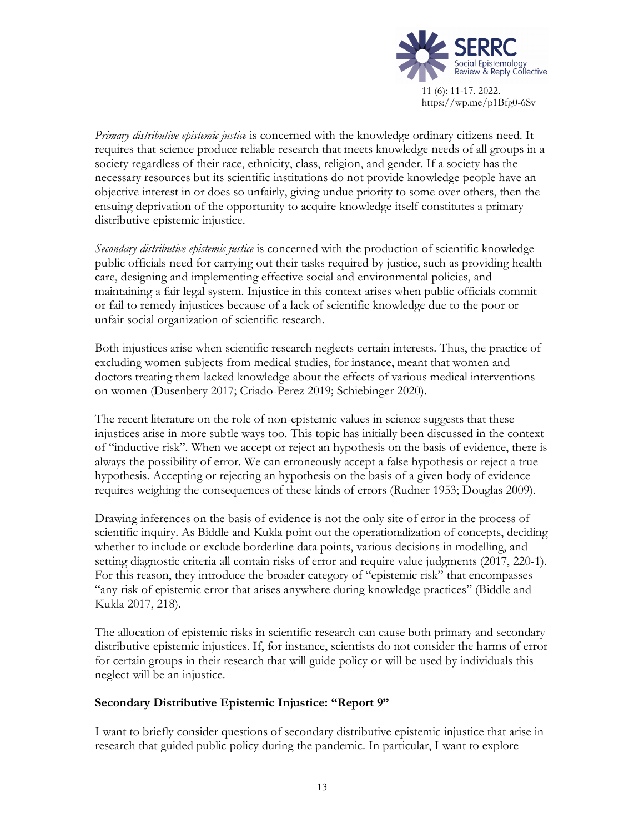

*Primary distributive epistemic justice* is concerned with the knowledge ordinary citizens need. It requires that science produce reliable research that meets knowledge needs of all groups in a society regardless of their race, ethnicity, class, religion, and gender. If a society has the necessary resources but its scientific institutions do not provide knowledge people have an objective interest in or does so unfairly, giving undue priority to some over others, then the ensuing deprivation of the opportunity to acquire knowledge itself constitutes a primary distributive epistemic injustice.

*Secondary distributive epistemic justice* is concerned with the production of scientific knowledge public officials need for carrying out their tasks required by justice, such as providing health care, designing and implementing effective social and environmental policies, and maintaining a fair legal system. Injustice in this context arises when public officials commit or fail to remedy injustices because of a lack of scientific knowledge due to the poor or unfair social organization of scientific research.

Both injustices arise when scientific research neglects certain interests. Thus, the practice of excluding women subjects from medical studies, for instance, meant that women and doctors treating them lacked knowledge about the effects of various medical interventions on women (Dusenbery 2017; Criado-Perez 2019; Schiebinger 2020).

The recent literature on the role of non-epistemic values in science suggests that these injustices arise in more subtle ways too. This topic has initially been discussed in the context of "inductive risk". When we accept or reject an hypothesis on the basis of evidence, there is always the possibility of error. We can erroneously accept a false hypothesis or reject a true hypothesis. Accepting or rejecting an hypothesis on the basis of a given body of evidence requires weighing the consequences of these kinds of errors (Rudner 1953; Douglas 2009).

Drawing inferences on the basis of evidence is not the only site of error in the process of scientific inquiry. As Biddle and Kukla point out the operationalization of concepts, deciding whether to include or exclude borderline data points, various decisions in modelling, and setting diagnostic criteria all contain risks of error and require value judgments (2017, 220-1). For this reason, they introduce the broader category of "epistemic risk" that encompasses "any risk of epistemic error that arises anywhere during knowledge practices" (Biddle and Kukla 2017, 218).

The allocation of epistemic risks in scientific research can cause both primary and secondary distributive epistemic injustices. If, for instance, scientists do not consider the harms of error for certain groups in their research that will guide policy or will be used by individuals this neglect will be an injustice.

## **Secondary Distributive Epistemic Injustice: "Report 9"**

I want to briefly consider questions of secondary distributive epistemic injustice that arise in research that guided public policy during the pandemic. In particular, I want to explore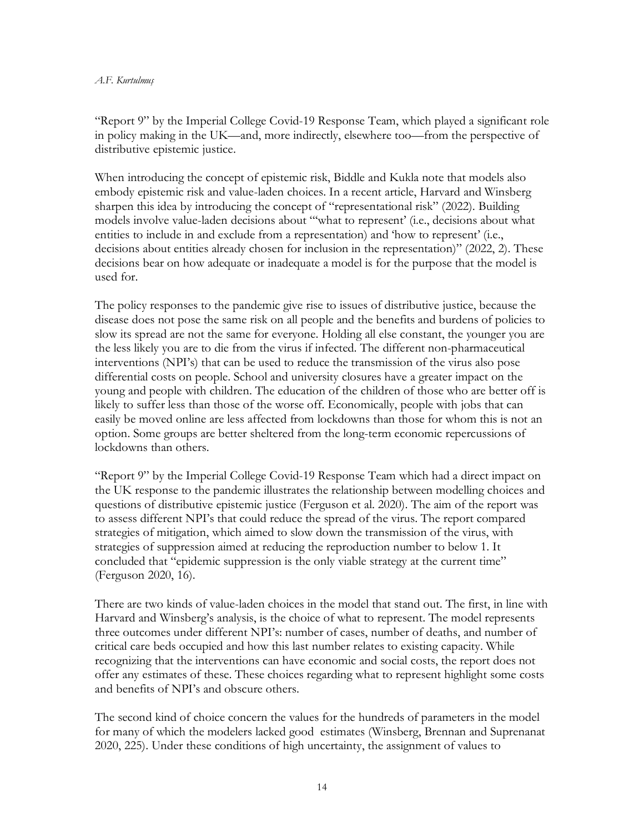#### *A.F. Kurtulmuş*

"Report 9" by the Imperial College Covid-19 Response Team, which played a significant role in policy making in the UK—and, more indirectly, elsewhere too—from the perspective of distributive epistemic justice.

When introducing the concept of epistemic risk, Biddle and Kukla note that models also embody epistemic risk and value-laden choices. In a recent article, Harvard and Winsberg sharpen this idea by introducing the concept of "representational risk" (2022). Building models involve value-laden decisions about "'what to represent' (i.e., decisions about what entities to include in and exclude from a representation) and 'how to represent' (i.e., decisions about entities already chosen for inclusion in the representation)" (2022, 2). These decisions bear on how adequate or inadequate a model is for the purpose that the model is used for.

The policy responses to the pandemic give rise to issues of distributive justice, because the disease does not pose the same risk on all people and the benefits and burdens of policies to slow its spread are not the same for everyone. Holding all else constant, the younger you are the less likely you are to die from the virus if infected. The different non-pharmaceutical interventions (NPI's) that can be used to reduce the transmission of the virus also pose differential costs on people. School and university closures have a greater impact on the young and people with children. The education of the children of those who are better off is likely to suffer less than those of the worse off. Economically, people with jobs that can easily be moved online are less affected from lockdowns than those for whom this is not an option. Some groups are better sheltered from the long-term economic repercussions of lockdowns than others.

"Report 9" by the Imperial College Covid-19 Response Team which had a direct impact on the UK response to the pandemic illustrates the relationship between modelling choices and questions of distributive epistemic justice (Ferguson et al. 2020). The aim of the report was to assess different NPI's that could reduce the spread of the virus. The report compared strategies of mitigation, which aimed to slow down the transmission of the virus, with strategies of suppression aimed at reducing the reproduction number to below 1. It concluded that "epidemic suppression is the only viable strategy at the current time" (Ferguson 2020, 16).

There are two kinds of value-laden choices in the model that stand out. The first, in line with Harvard and Winsberg's analysis, is the choice of what to represent. The model represents three outcomes under different NPI's: number of cases, number of deaths, and number of critical care beds occupied and how this last number relates to existing capacity. While recognizing that the interventions can have economic and social costs, the report does not offer any estimates of these. These choices regarding what to represent highlight some costs and benefits of NPI's and obscure others.

The second kind of choice concern the values for the hundreds of parameters in the model for many of which the modelers lacked good estimates (Winsberg, Brennan and Suprenanat 2020, 225). Under these conditions of high uncertainty, the assignment of values to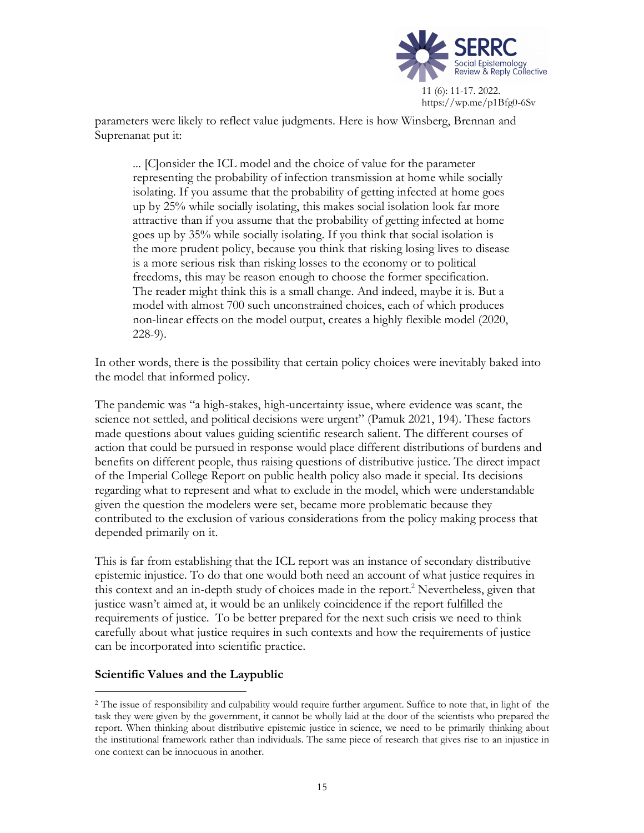

parameters were likely to reflect value judgments. Here is how Winsberg, Brennan and Suprenanat put it:

... [C]onsider the ICL model and the choice of value for the parameter representing the probability of infection transmission at home while socially isolating. If you assume that the probability of getting infected at home goes up by 25% while socially isolating, this makes social isolation look far more attractive than if you assume that the probability of getting infected at home goes up by 35% while socially isolating. If you think that social isolation is the more prudent policy, because you think that risking losing lives to disease is a more serious risk than risking losses to the economy or to political freedoms, this may be reason enough to choose the former specification. The reader might think this is a small change. And indeed, maybe it is. But a model with almost 700 such unconstrained choices, each of which produces non-linear effects on the model output, creates a highly flexible model (2020, 228-9).

In other words, there is the possibility that certain policy choices were inevitably baked into the model that informed policy.

The pandemic was "a high-stakes, high-uncertainty issue, where evidence was scant, the science not settled, and political decisions were urgent" (Pamuk 2021, 194). These factors made questions about values guiding scientific research salient. The different courses of action that could be pursued in response would place different distributions of burdens and benefits on different people, thus raising questions of distributive justice. The direct impact of the Imperial College Report on public health policy also made it special. Its decisions regarding what to represent and what to exclude in the model, which were understandable given the question the modelers were set, became more problematic because they contributed to the exclusion of various considerations from the policy making process that depended primarily on it.

This is far from establishing that the ICL report was an instance of secondary distributive epistemic injustice. To do that one would both need an account of what justice requires in this context and an in-depth study of choices made in the report.<sup>2</sup> Nevertheless, given that justice wasn't aimed at, it would be an unlikely coincidence if the report fulfilled the requirements of justice. To be better prepared for the next such crisis we need to think carefully about what justice requires in such contexts and how the requirements of justice can be incorporated into scientific practice.

## **Scientific Values and the Laypublic**

 <sup>2</sup> The issue of responsibility and culpability would require further argument. Suffice to note that, in light of the task they were given by the government, it cannot be wholly laid at the door of the scientists who prepared the report. When thinking about distributive epistemic justice in science, we need to be primarily thinking about the institutional framework rather than individuals. The same piece of research that gives rise to an injustice in one context can be innocuous in another.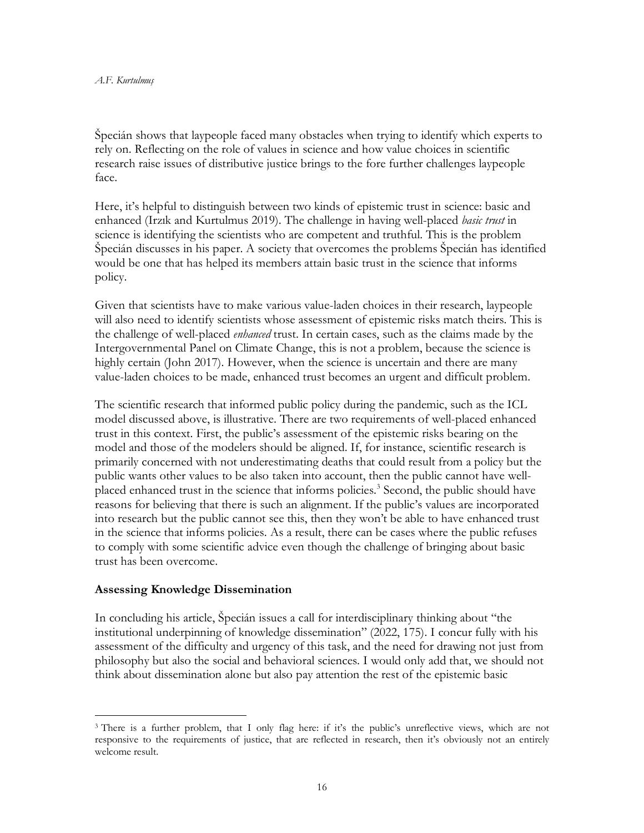Špecián shows that laypeople faced many obstacles when trying to identify which experts to rely on. Reflecting on the role of values in science and how value choices in scientific research raise issues of distributive justice brings to the fore further challenges laypeople face.

Here, it's helpful to distinguish between two kinds of epistemic trust in science: basic and enhanced (Irzık and Kurtulmus 2019). The challenge in having well-placed *basic trust* in science is identifying the scientists who are competent and truthful. This is the problem Špecián discusses in his paper. A society that overcomes the problems Špecián has identified would be one that has helped its members attain basic trust in the science that informs policy.

Given that scientists have to make various value-laden choices in their research, laypeople will also need to identify scientists whose assessment of epistemic risks match theirs. This is the challenge of well-placed *enhanced* trust. In certain cases, such as the claims made by the Intergovernmental Panel on Climate Change, this is not a problem, because the science is highly certain (John 2017). However, when the science is uncertain and there are many value-laden choices to be made, enhanced trust becomes an urgent and difficult problem.

The scientific research that informed public policy during the pandemic, such as the ICL model discussed above, is illustrative. There are two requirements of well-placed enhanced trust in this context. First, the public's assessment of the epistemic risks bearing on the model and those of the modelers should be aligned. If, for instance, scientific research is primarily concerned with not underestimating deaths that could result from a policy but the public wants other values to be also taken into account, then the public cannot have wellplaced enhanced trust in the science that informs policies.<sup>3</sup> Second, the public should have reasons for believing that there is such an alignment. If the public's values are incorporated into research but the public cannot see this, then they won't be able to have enhanced trust in the science that informs policies. As a result, there can be cases where the public refuses to comply with some scientific advice even though the challenge of bringing about basic trust has been overcome.

### **Assessing Knowledge Dissemination**

In concluding his article, Špecián issues a call for interdisciplinary thinking about "the institutional underpinning of knowledge dissemination" (2022, 175). I concur fully with his assessment of the difficulty and urgency of this task, and the need for drawing not just from philosophy but also the social and behavioral sciences. I would only add that, we should not think about dissemination alone but also pay attention the rest of the epistemic basic

<sup>&</sup>lt;sup>3</sup> There is a further problem, that I only flag here: if it's the public's unreflective views, which are not responsive to the requirements of justice, that are reflected in research, then it's obviously not an entirely welcome result.